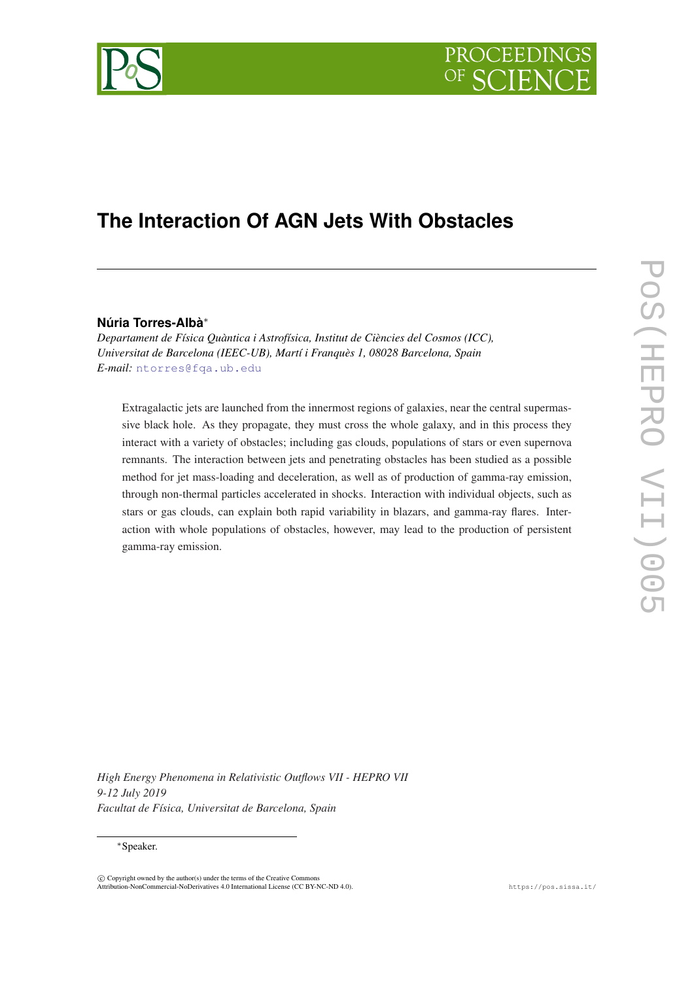# PROCEEDIN



# **The Interaction Of AGN Jets With Obstacles**

# **Núria Torres-Albà**<sup>∗</sup>

*Departament de Física Quàntica i Astrofísica, Institut de Ciències del Cosmos (ICC), Universitat de Barcelona (IEEC-UB), Martí i Franquès 1, 08028 Barcelona, Spain E-mail:* [ntorres@fqa.ub.edu](mailto:ntorres@fqa.ub.edu)

Extragalactic jets are launched from the innermost regions of galaxies, near the central supermassive black hole. As they propagate, they must cross the whole galaxy, and in this process they interact with a variety of obstacles; including gas clouds, populations of stars or even supernova remnants. The interaction between jets and penetrating obstacles has been studied as a possible method for jet mass-loading and deceleration, as well as of production of gamma-ray emission, through non-thermal particles accelerated in shocks. Interaction with individual objects, such as stars or gas clouds, can explain both rapid variability in blazars, and gamma-ray flares. Interaction with whole populations of obstacles, however, may lead to the production of persistent gamma-ray emission.

*High Energy Phenomena in Relativistic Outflows VII - HEPRO VII 9-12 July 2019 Facultat de Física, Universitat de Barcelona, Spain*

# <sup>∗</sup>Speaker.

 $\overline{c}$  Copyright owned by the author(s) under the terms of the Creative Common Attribution-NonCommercial-NoDerivatives 4.0 International License (CC BY-NC-ND 4.0). https://pos.sissa.it/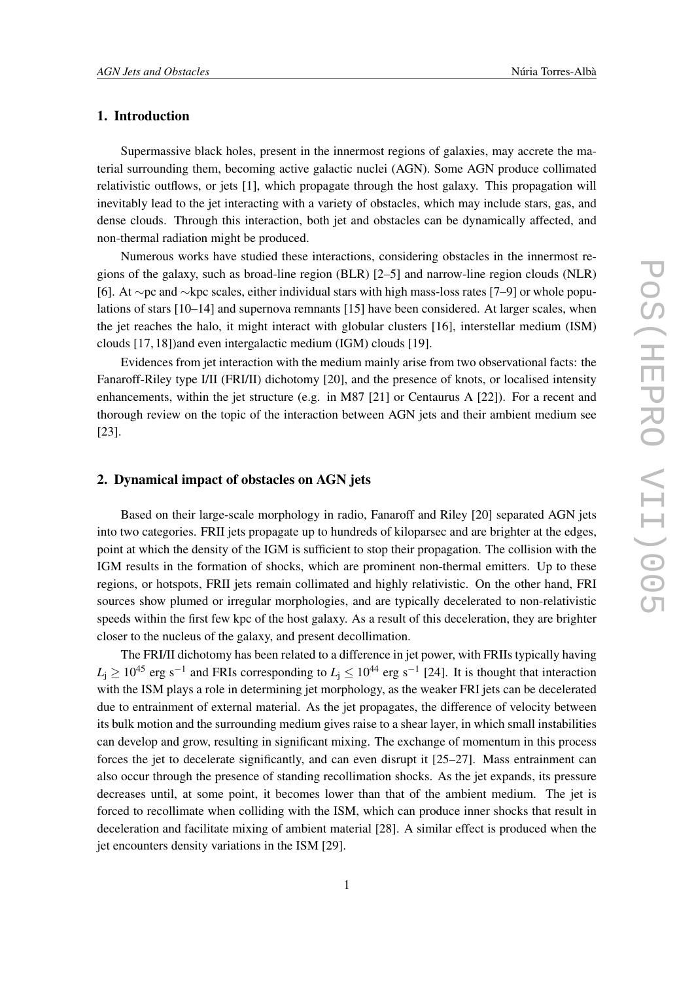# 1. Introduction

Supermassive black holes, present in the innermost regions of galaxies, may accrete the material surrounding them, becoming active galactic nuclei (AGN). Some AGN produce collimated relativistic outflows, or jets [1], which propagate through the host galaxy. This propagation will inevitably lead to the jet interacting with a variety of obstacles, which may include stars, gas, and dense clouds. Through this interaction, both jet and obstacles can be dynamically affected, and non-thermal radiation might be produced.

Numerous works have studied these interactions, considering obstacles in the innermost regions of the galaxy, such as broad-line region (BLR) [2–5] and narrow-line region clouds (NLR) [6]. At ∼pc and ∼kpc scales, either individual stars with high mass-loss rates [7–9] or whole populations of stars [10–14] and supernova remnants [15] have been considered. At larger scales, when the jet reaches the halo, it might interact with globular clusters [16], interstellar medium (ISM) clouds [17, 18])and even intergalactic medium (IGM) clouds [19].

Evidences from jet interaction with the medium mainly arise from two observational facts: the Fanaroff-Riley type I/II (FRI/II) dichotomy [20], and the presence of knots, or localised intensity enhancements, within the jet structure (e.g. in M87 [21] or Centaurus A [22]). For a recent and thorough review on the topic of the interaction between AGN jets and their ambient medium see [23].

# 2. Dynamical impact of obstacles on AGN jets

Based on their large-scale morphology in radio, Fanaroff and Riley [20] separated AGN jets into two categories. FRII jets propagate up to hundreds of kiloparsec and are brighter at the edges, point at which the density of the IGM is sufficient to stop their propagation. The collision with the IGM results in the formation of shocks, which are prominent non-thermal emitters. Up to these regions, or hotspots, FRII jets remain collimated and highly relativistic. On the other hand, FRI sources show plumed or irregular morphologies, and are typically decelerated to non-relativistic speeds within the first few kpc of the host galaxy. As a result of this deceleration, they are brighter closer to the nucleus of the galaxy, and present decollimation.

The FRI/II dichotomy has been related to a difference in jet power, with FRIIs typically having  $L_j \geq 10^{45}$  erg s<sup>-1</sup> and FRIs corresponding to  $L_j \leq 10^{44}$  erg s<sup>-1</sup> [24]. It is thought that interaction with the ISM plays a role in determining jet morphology, as the weaker FRI jets can be decelerated due to entrainment of external material. As the jet propagates, the difference of velocity between its bulk motion and the surrounding medium gives raise to a shear layer, in which small instabilities can develop and grow, resulting in significant mixing. The exchange of momentum in this process forces the jet to decelerate significantly, and can even disrupt it [25–27]. Mass entrainment can also occur through the presence of standing recollimation shocks. As the jet expands, its pressure decreases until, at some point, it becomes lower than that of the ambient medium. The jet is forced to recollimate when colliding with the ISM, which can produce inner shocks that result in deceleration and facilitate mixing of ambient material [28]. A similar effect is produced when the jet encounters density variations in the ISM [29].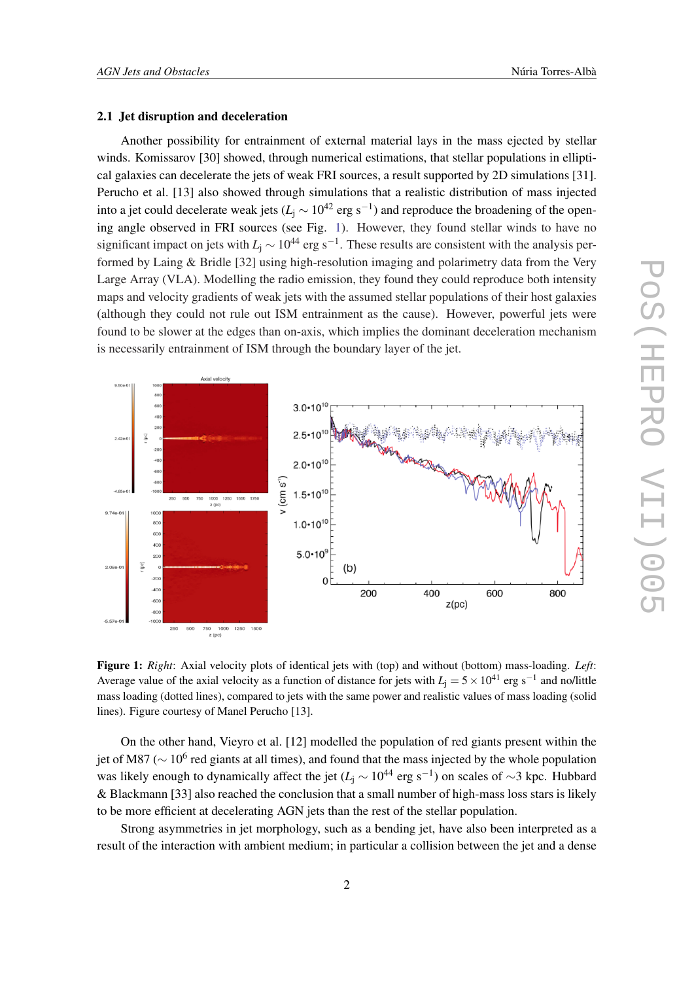#### 2.1 Jet disruption and deceleration

Another possibility for entrainment of external material lays in the mass ejected by stellar winds. Komissarov [30] showed, through numerical estimations, that stellar populations in elliptical galaxies can decelerate the jets of weak FRI sources, a result supported by 2D simulations [31]. Perucho et al. [13] also showed through simulations that a realistic distribution of mass injected into a jet could decelerate weak jets ( $L<sub>j</sub> \sim 10<sup>42</sup>$  erg s<sup>-1</sup>) and reproduce the broadening of the opening angle observed in FRI sources (see Fig. 1). However, they found stellar winds to have no significant impact on jets with  $L_j \sim 10^{44}$  erg s<sup>-1</sup>. These results are consistent with the analysis performed by Laing & Bridle [32] using high-resolution imaging and polarimetry data from the Very Large Array (VLA). Modelling the radio emission, they found they could reproduce both intensity maps and velocity gradients of weak jets with the assumed stellar populations of their host galaxies (although they could not rule out ISM entrainment as the cause). However, powerful jets were found to be slower at the edges than on-axis, which implies the dominant deceleration mechanism is necessarily entrainment of ISM through the boundary layer of the jet.



Figure 1: *Right*: Axial velocity plots of identical jets with (top) and without (bottom) mass-loading. *Left*: Average value of the axial velocity as a function of distance for jets with  $L_j = 5 \times 10^{41}$  erg s<sup>-1</sup> and no/little mass loading (dotted lines), compared to jets with the same power and realistic values of mass loading (solid lines). Figure courtesy of Manel Perucho [13].

On the other hand, Vieyro et al. [12] modelled the population of red giants present within the jet of M87 ( $\sim$  10<sup>6</sup> red giants at all times), and found that the mass injected by the whole population was likely enough to dynamically affect the jet ( $L<sub>j</sub>$  ∼ 10<sup>44</sup> erg s<sup>-1</sup>) on scales of ~3 kpc. Hubbard & Blackmann [33] also reached the conclusion that a small number of high-mass loss stars is likely to be more efficient at decelerating AGN jets than the rest of the stellar population.

Strong asymmetries in jet morphology, such as a bending jet, have also been interpreted as a result of the interaction with ambient medium; in particular a collision between the jet and a dense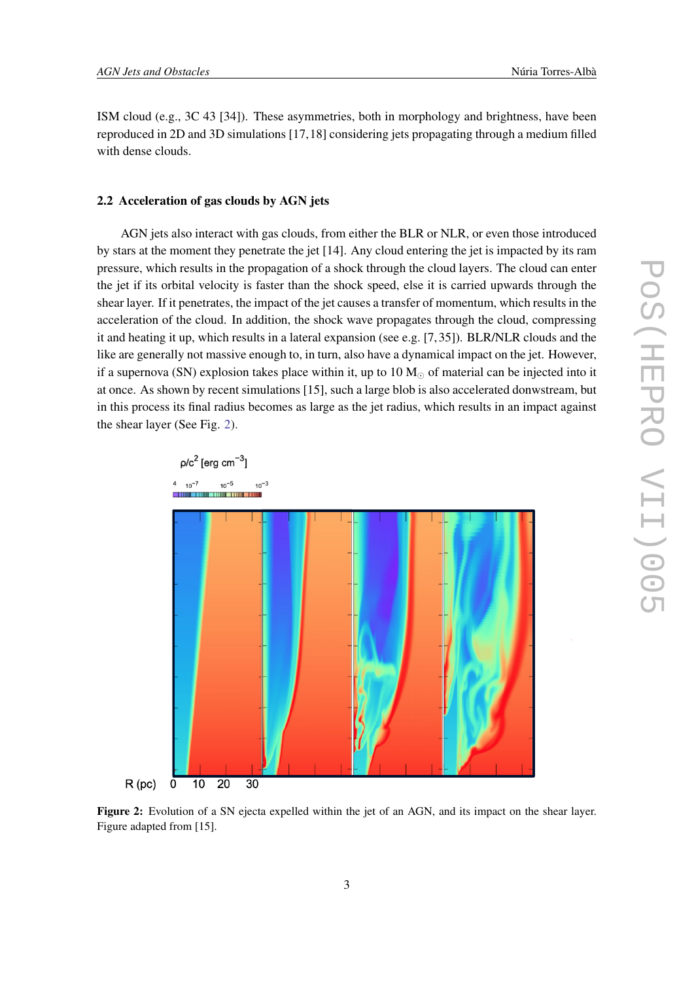ISM cloud (e.g., 3C 43 [34]). These asymmetries, both in morphology and brightness, have been reproduced in 2D and 3D simulations [17,18] considering jets propagating through a medium filled with dense clouds.

# 2.2 Acceleration of gas clouds by AGN jets

AGN jets also interact with gas clouds, from either the BLR or NLR, or even those introduced by stars at the moment they penetrate the jet [14]. Any cloud entering the jet is impacted by its ram pressure, which results in the propagation of a shock through the cloud layers. The cloud can enter the jet if its orbital velocity is faster than the shock speed, else it is carried upwards through the shear layer. If it penetrates, the impact of the jet causes a transfer of momentum, which results in the acceleration of the cloud. In addition, the shock wave propagates through the cloud, compressing it and heating it up, which results in a lateral expansion (see e.g. [7, 35]). BLR/NLR clouds and the like are generally not massive enough to, in turn, also have a dynamical impact on the jet. However, if a supernova (SN) explosion takes place within it, up to  $10 M_{\odot}$  of material can be injected into it at once. As shown by recent simulations [15], such a large blob is also accelerated donwstream, but in this process its final radius becomes as large as the jet radius, which results in an impact against the shear layer (See Fig. 2).



Figure 2: Evolution of a SN ejecta expelled within the jet of an AGN, and its impact on the shear layer. Figure adapted from [15].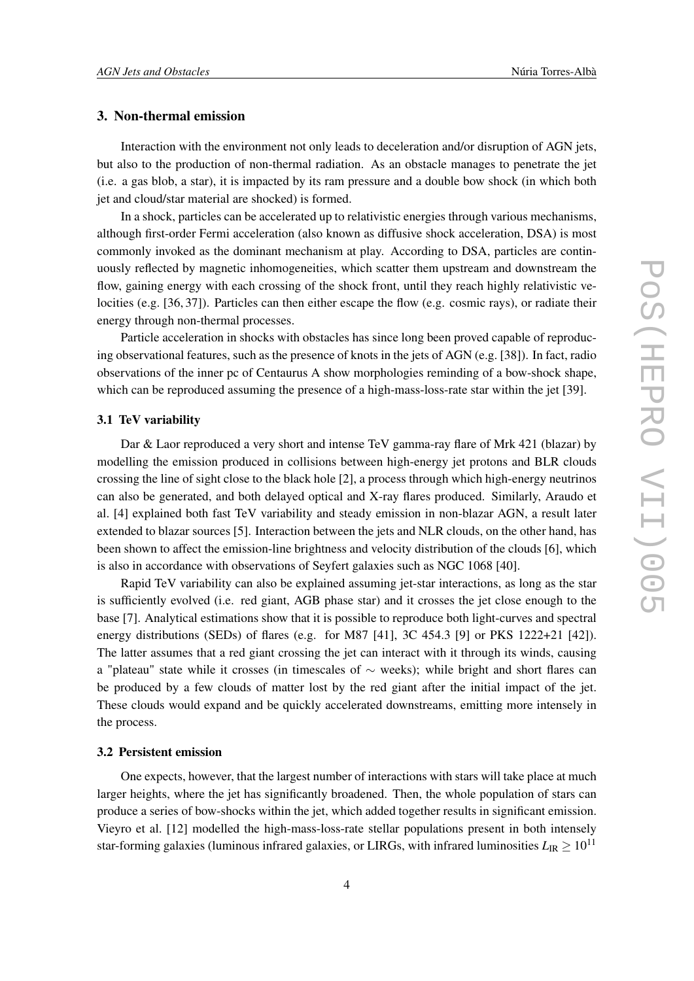# 3. Non-thermal emission

Interaction with the environment not only leads to deceleration and/or disruption of AGN jets, but also to the production of non-thermal radiation. As an obstacle manages to penetrate the jet (i.e. a gas blob, a star), it is impacted by its ram pressure and a double bow shock (in which both jet and cloud/star material are shocked) is formed.

In a shock, particles can be accelerated up to relativistic energies through various mechanisms, although first-order Fermi acceleration (also known as diffusive shock acceleration, DSA) is most commonly invoked as the dominant mechanism at play. According to DSA, particles are continuously reflected by magnetic inhomogeneities, which scatter them upstream and downstream the flow, gaining energy with each crossing of the shock front, until they reach highly relativistic velocities (e.g. [36, 37]). Particles can then either escape the flow (e.g. cosmic rays), or radiate their energy through non-thermal processes.

Particle acceleration in shocks with obstacles has since long been proved capable of reproducing observational features, such as the presence of knots in the jets of AGN (e.g. [38]). In fact, radio observations of the inner pc of Centaurus A show morphologies reminding of a bow-shock shape, which can be reproduced assuming the presence of a high-mass-loss-rate star within the jet [39].

#### 3.1 TeV variability

Dar & Laor reproduced a very short and intense TeV gamma-ray flare of Mrk 421 (blazar) by modelling the emission produced in collisions between high-energy jet protons and BLR clouds crossing the line of sight close to the black hole [2], a process through which high-energy neutrinos can also be generated, and both delayed optical and X-ray flares produced. Similarly, Araudo et al. [4] explained both fast TeV variability and steady emission in non-blazar AGN, a result later extended to blazar sources [5]. Interaction between the jets and NLR clouds, on the other hand, has been shown to affect the emission-line brightness and velocity distribution of the clouds [6], which is also in accordance with observations of Seyfert galaxies such as NGC 1068 [40].

Rapid TeV variability can also be explained assuming jet-star interactions, as long as the star is sufficiently evolved (i.e. red giant, AGB phase star) and it crosses the jet close enough to the base [7]. Analytical estimations show that it is possible to reproduce both light-curves and spectral energy distributions (SEDs) of flares (e.g. for M87 [41], 3C 454.3 [9] or PKS 1222+21 [42]). The latter assumes that a red giant crossing the jet can interact with it through its winds, causing a "plateau" state while it crosses (in timescales of  $\sim$  weeks); while bright and short flares can be produced by a few clouds of matter lost by the red giant after the initial impact of the jet. These clouds would expand and be quickly accelerated downstreams, emitting more intensely in the process.

# 3.2 Persistent emission

One expects, however, that the largest number of interactions with stars will take place at much larger heights, where the jet has significantly broadened. Then, the whole population of stars can produce a series of bow-shocks within the jet, which added together results in significant emission. Vieyro et al. [12] modelled the high-mass-loss-rate stellar populations present in both intensely star-forming galaxies (luminous infrared galaxies, or LIRGs, with infrared luminosities  $L_{\text{IR}} \geq 10^{11}$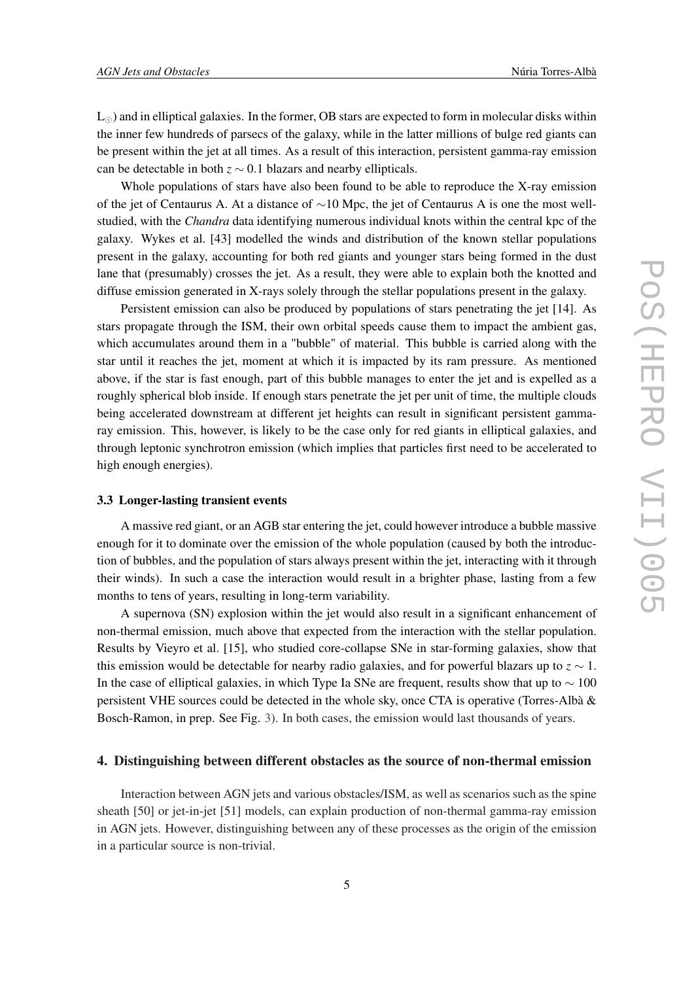$L_{\odot}$ ) and in elliptical galaxies. In the former, OB stars are expected to form in molecular disks within the inner few hundreds of parsecs of the galaxy, while in the latter millions of bulge red giants can be present within the jet at all times. As a result of this interaction, persistent gamma-ray emission can be detectable in both *z* ∼ 0.1 blazars and nearby ellipticals.

Whole populations of stars have also been found to be able to reproduce the X-ray emission of the jet of Centaurus A. At a distance of ∼10 Mpc, the jet of Centaurus A is one the most wellstudied, with the *Chandra* data identifying numerous individual knots within the central kpc of the galaxy. Wykes et al. [43] modelled the winds and distribution of the known stellar populations present in the galaxy, accounting for both red giants and younger stars being formed in the dust lane that (presumably) crosses the jet. As a result, they were able to explain both the knotted and diffuse emission generated in X-rays solely through the stellar populations present in the galaxy.

Persistent emission can also be produced by populations of stars penetrating the jet [14]. As stars propagate through the ISM, their own orbital speeds cause them to impact the ambient gas, which accumulates around them in a "bubble" of material. This bubble is carried along with the star until it reaches the jet, moment at which it is impacted by its ram pressure. As mentioned above, if the star is fast enough, part of this bubble manages to enter the jet and is expelled as a roughly spherical blob inside. If enough stars penetrate the jet per unit of time, the multiple clouds being accelerated downstream at different jet heights can result in significant persistent gammaray emission. This, however, is likely to be the case only for red giants in elliptical galaxies, and through leptonic synchrotron emission (which implies that particles first need to be accelerated to high enough energies).

### 3.3 Longer-lasting transient events

A massive red giant, or an AGB star entering the jet, could however introduce a bubble massive enough for it to dominate over the emission of the whole population (caused by both the introduction of bubbles, and the population of stars always present within the jet, interacting with it through their winds). In such a case the interaction would result in a brighter phase, lasting from a few months to tens of years, resulting in long-term variability.

A supernova (SN) explosion within the jet would also result in a significant enhancement of non-thermal emission, much above that expected from the interaction with the stellar population. Results by Vieyro et al. [15], who studied core-collapse SNe in star-forming galaxies, show that this emission would be detectable for nearby radio galaxies, and for powerful blazars up to *z* ∼ 1. In the case of elliptical galaxies, in which Type Ia SNe are frequent, results show that up to  $\sim 100$ persistent VHE sources could be detected in the whole sky, once CTA is operative (Torres-Albà & Bosch-Ramon, in prep. See Fig. [3\)](#page-6-0). In both cases, the emission would last thousands of years.

#### 4. Distinguishing between different obstacles as the source of non-thermal emission

Interaction between AGN jets and various obstacles/ISM, as well as scenarios such as the spine sheath [50] or jet-in-jet [51] models, can explain production of non-thermal gamma-ray emission in AGN jets. However, distinguishing between any of these processes as the origin of the emission in a particular source is non-trivial.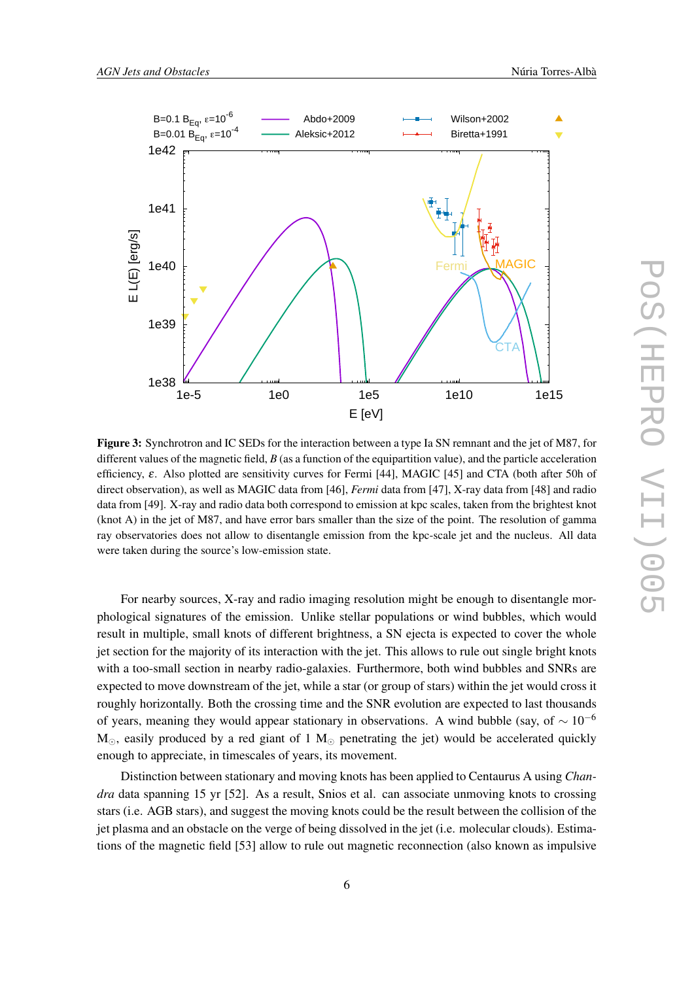<span id="page-6-0"></span>

Figure 3: Synchrotron and IC SEDs for the interaction between a type Ia SN remnant and the jet of M87, for different values of the magnetic field, *B* (as a function of the equipartition value), and the particle acceleration efficiency,  $\varepsilon$ . Also plotted are sensitivity curves for Fermi [44], MAGIC [45] and CTA (both after 50h of direct observation), as well as MAGIC data from [46], *Fermi* data from [47], X-ray data from [48] and radio data from [49]. X-ray and radio data both correspond to emission at kpc scales, taken from the brightest knot (knot A) in the jet of M87, and have error bars smaller than the size of the point. The resolution of gamma ray observatories does not allow to disentangle emission from the kpc-scale jet and the nucleus. All data were taken during the source's low-emission state.

For nearby sources, X-ray and radio imaging resolution might be enough to disentangle morphological signatures of the emission. Unlike stellar populations or wind bubbles, which would result in multiple, small knots of different brightness, a SN ejecta is expected to cover the whole jet section for the majority of its interaction with the jet. This allows to rule out single bright knots with a too-small section in nearby radio-galaxies. Furthermore, both wind bubbles and SNRs are expected to move downstream of the jet, while a star (or group of stars) within the jet would cross it roughly horizontally. Both the crossing time and the SNR evolution are expected to last thousands of years, meaning they would appear stationary in observations. A wind bubble (say, of  $\sim 10^{-6}$ )  $M_{\odot}$ , easily produced by a red giant of 1  $M_{\odot}$  penetrating the jet) would be accelerated quickly enough to appreciate, in timescales of years, its movement.

Distinction between stationary and moving knots has been applied to Centaurus A using *Chandra* data spanning 15 yr [52]. As a result, Snios et al. can associate unmoving knots to crossing stars (i.e. AGB stars), and suggest the moving knots could be the result between the collision of the jet plasma and an obstacle on the verge of being dissolved in the jet (i.e. molecular clouds). Estimations of the magnetic field [53] allow to rule out magnetic reconnection (also known as impulsive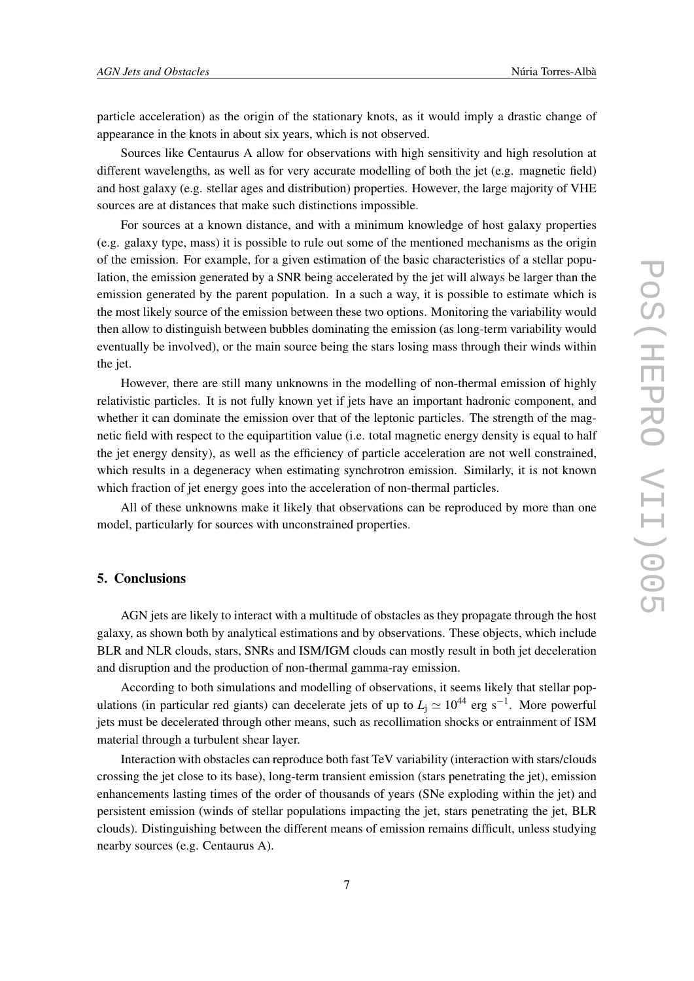particle acceleration) as the origin of the stationary knots, as it would imply a drastic change of appearance in the knots in about six years, which is not observed.

Sources like Centaurus A allow for observations with high sensitivity and high resolution at different wavelengths, as well as for very accurate modelling of both the jet (e.g. magnetic field) and host galaxy (e.g. stellar ages and distribution) properties. However, the large majority of VHE sources are at distances that make such distinctions impossible.

For sources at a known distance, and with a minimum knowledge of host galaxy properties (e.g. galaxy type, mass) it is possible to rule out some of the mentioned mechanisms as the origin of the emission. For example, for a given estimation of the basic characteristics of a stellar population, the emission generated by a SNR being accelerated by the jet will always be larger than the emission generated by the parent population. In a such a way, it is possible to estimate which is the most likely source of the emission between these two options. Monitoring the variability would then allow to distinguish between bubbles dominating the emission (as long-term variability would eventually be involved), or the main source being the stars losing mass through their winds within the jet.

However, there are still many unknowns in the modelling of non-thermal emission of highly relativistic particles. It is not fully known yet if jets have an important hadronic component, and whether it can dominate the emission over that of the leptonic particles. The strength of the magnetic field with respect to the equipartition value (i.e. total magnetic energy density is equal to half the jet energy density), as well as the efficiency of particle acceleration are not well constrained, which results in a degeneracy when estimating synchrotron emission. Similarly, it is not known which fraction of jet energy goes into the acceleration of non-thermal particles.

All of these unknowns make it likely that observations can be reproduced by more than one model, particularly for sources with unconstrained properties.

# 5. Conclusions

AGN jets are likely to interact with a multitude of obstacles as they propagate through the host galaxy, as shown both by analytical estimations and by observations. These objects, which include BLR and NLR clouds, stars, SNRs and ISM/IGM clouds can mostly result in both jet deceleration and disruption and the production of non-thermal gamma-ray emission.

According to both simulations and modelling of observations, it seems likely that stellar populations (in particular red giants) can decelerate jets of up to  $L_j \simeq 10^{44}$  erg s<sup>-1</sup>. More powerful jets must be decelerated through other means, such as recollimation shocks or entrainment of ISM material through a turbulent shear layer.

Interaction with obstacles can reproduce both fast TeV variability (interaction with stars/clouds crossing the jet close to its base), long-term transient emission (stars penetrating the jet), emission enhancements lasting times of the order of thousands of years (SNe exploding within the jet) and persistent emission (winds of stellar populations impacting the jet, stars penetrating the jet, BLR clouds). Distinguishing between the different means of emission remains difficult, unless studying nearby sources (e.g. Centaurus A).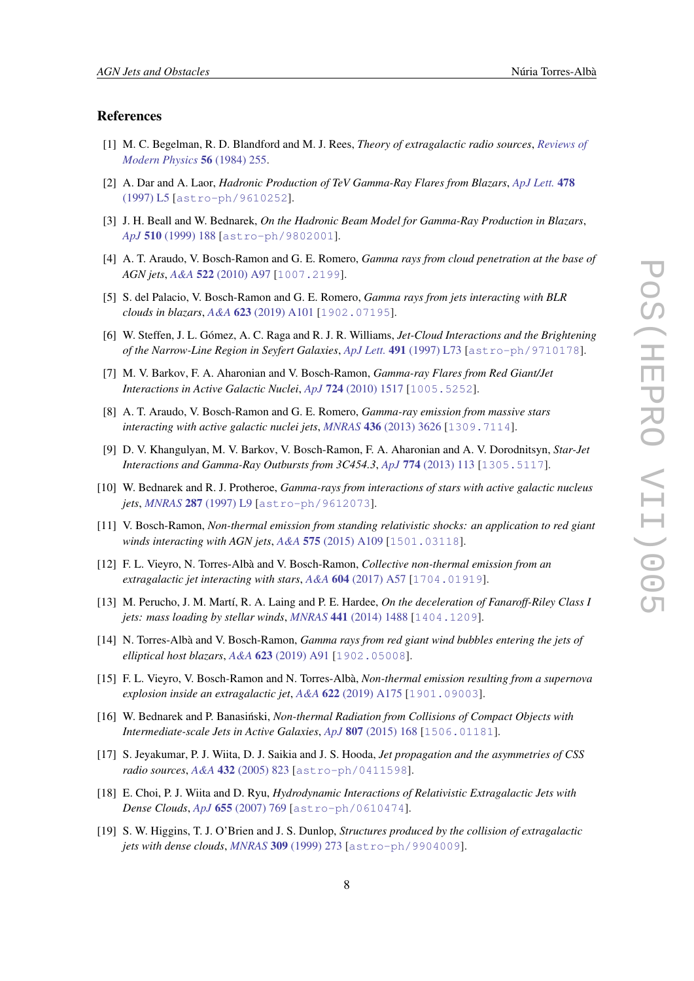### References

- [1] M. C. Begelman, R. D. Blandford and M. J. Rees, *Theory of extragalactic radio sources*, *[Reviews of](https://doi.org/10.1103/RevModPhys.56.255) [Modern Physics](https://doi.org/10.1103/RevModPhys.56.255)* 56 (1984) 255.
- [2] A. Dar and A. Laor, *Hadronic Production of TeV Gamma-Ray Flares from Blazars*, *[ApJ Lett.](https://doi.org/10.1086/310544)* 478 [\(1997\) L5](https://doi.org/10.1086/310544) [[astro-ph/9610252](https://arxiv.org/abs/astro-ph/9610252)].
- [3] J. H. Beall and W. Bednarek, *On the Hadronic Beam Model for Gamma-Ray Production in Blazars*, *ApJ* 510 [\(1999\) 188](https://doi.org/10.1086/306555) [[astro-ph/9802001](https://arxiv.org/abs/astro-ph/9802001)].
- [4] A. T. Araudo, V. Bosch-Ramon and G. E. Romero, *Gamma rays from cloud penetration at the base of AGN jets*, *A&A* 522 [\(2010\) A97](https://doi.org/10.1051/0004-6361/201014660) [[1007.2199](https://arxiv.org/abs/1007.2199)].
- [5] S. del Palacio, V. Bosch-Ramon and G. E. Romero, *Gamma rays from jets interacting with BLR clouds in blazars*, *A&A* 623 [\(2019\) A101](https://doi.org/10.1051/0004-6361/201834231) [[1902.07195](https://arxiv.org/abs/1902.07195)].
- [6] W. Steffen, J. L. Gómez, A. C. Raga and R. J. R. Williams, *Jet-Cloud Interactions and the Brightening of the Narrow-Line Region in Seyfert Galaxies*, *ApJ Lett.* 491 [\(1997\) L73](https://doi.org/10.1086/311066) [[astro-ph/9710178](https://arxiv.org/abs/astro-ph/9710178)].
- [7] M. V. Barkov, F. A. Aharonian and V. Bosch-Ramon, *Gamma-ray Flares from Red Giant/Jet Interactions in Active Galactic Nuclei*, *ApJ* 724 [\(2010\) 1517](https://doi.org/10.1088/0004-637X/724/2/1517) [[1005.5252](https://arxiv.org/abs/1005.5252)].
- [8] A. T. Araudo, V. Bosch-Ramon and G. E. Romero, *Gamma-ray emission from massive stars interacting with active galactic nuclei jets*, *MNRAS* 436 [\(2013\) 3626](https://doi.org/10.1093/mnras/stt1840) [[1309.7114](https://arxiv.org/abs/1309.7114)].
- [9] D. V. Khangulyan, M. V. Barkov, V. Bosch-Ramon, F. A. Aharonian and A. V. Dorodnitsyn, *Star-Jet Interactions and Gamma-Ray Outbursts from 3C454.3*, *ApJ* 774 [\(2013\) 113](https://doi.org/10.1088/0004-637X/774/2/113) [[1305.5117](https://arxiv.org/abs/1305.5117)].
- [10] W. Bednarek and R. J. Protheroe, *Gamma-rays from interactions of stars with active galactic nucleus jets*, *MNRAS* 287 [\(1997\) L9](https://doi.org/10.1093/mnras/287.3.L9) [[astro-ph/9612073](https://arxiv.org/abs/astro-ph/9612073)].
- [11] V. Bosch-Ramon, *Non-thermal emission from standing relativistic shocks: an application to red giant winds interacting with AGN jets*, *A&A* 575 [\(2015\) A109](https://doi.org/10.1051/0004-6361/201425208) [[1501.03118](https://arxiv.org/abs/1501.03118)].
- [12] F. L. Vieyro, N. Torres-Albà and V. Bosch-Ramon, *Collective non-thermal emission from an extragalactic jet interacting with stars*, *A&A* 604 [\(2017\) A57](https://doi.org/10.1051/0004-6361/201630333) [[1704.01919](https://arxiv.org/abs/1704.01919)].
- [13] M. Perucho, J. M. Martí, R. A. Laing and P. E. Hardee, *On the deceleration of Fanaroff-Riley Class I jets: mass loading by stellar winds, MNRAS* 441 [\(2014\) 1488](https://doi.org/10.1093/mnras/stu676) [[1404.1209](https://arxiv.org/abs/1404.1209)].
- [14] N. Torres-Albà and V. Bosch-Ramon, *Gamma rays from red giant wind bubbles entering the jets of elliptical host blazars*, *A&A* 623 [\(2019\) A91](https://doi.org/10.1051/0004-6361/201833697) [[1902.05008](https://arxiv.org/abs/1902.05008)].
- [15] F. L. Vieyro, V. Bosch-Ramon and N. Torres-Albà, *Non-thermal emission resulting from a supernova explosion inside an extragalactic jet*, *A&A* 622 [\(2019\) A175](https://doi.org/10.1051/0004-6361/201833319) [[1901.09003](https://arxiv.org/abs/1901.09003)].
- [16] W. Bednarek and P. Banasiński, *Non-thermal Radiation from Collisions of Compact Objects with Intermediate-scale Jets in Active Galaxies*, *ApJ* 807 [\(2015\) 168](https://doi.org/10.1088/0004-637X/807/2/168) [[1506.01181](https://arxiv.org/abs/1506.01181)].
- [17] S. Jeyakumar, P. J. Wiita, D. J. Saikia and J. S. Hooda, *Jet propagation and the asymmetries of CSS radio sources*, *A&A* 432 [\(2005\) 823](https://doi.org/10.1051/0004-6361:20041564) [[astro-ph/0411598](https://arxiv.org/abs/astro-ph/0411598)].
- [18] E. Choi, P. J. Wiita and D. Ryu, *Hydrodynamic Interactions of Relativistic Extragalactic Jets with Dense Clouds*, *ApJ* 655 [\(2007\) 769](https://doi.org/10.1086/510120) [[astro-ph/0610474](https://arxiv.org/abs/astro-ph/0610474)].
- [19] S. W. Higgins, T. J. O'Brien and J. S. Dunlop, *Structures produced by the collision of extragalactic jets with dense clouds*, *MNRAS* 309 [\(1999\) 273](https://doi.org/10.1046/j.1365-8711.1999.02779.x) [[astro-ph/9904009](https://arxiv.org/abs/astro-ph/9904009)].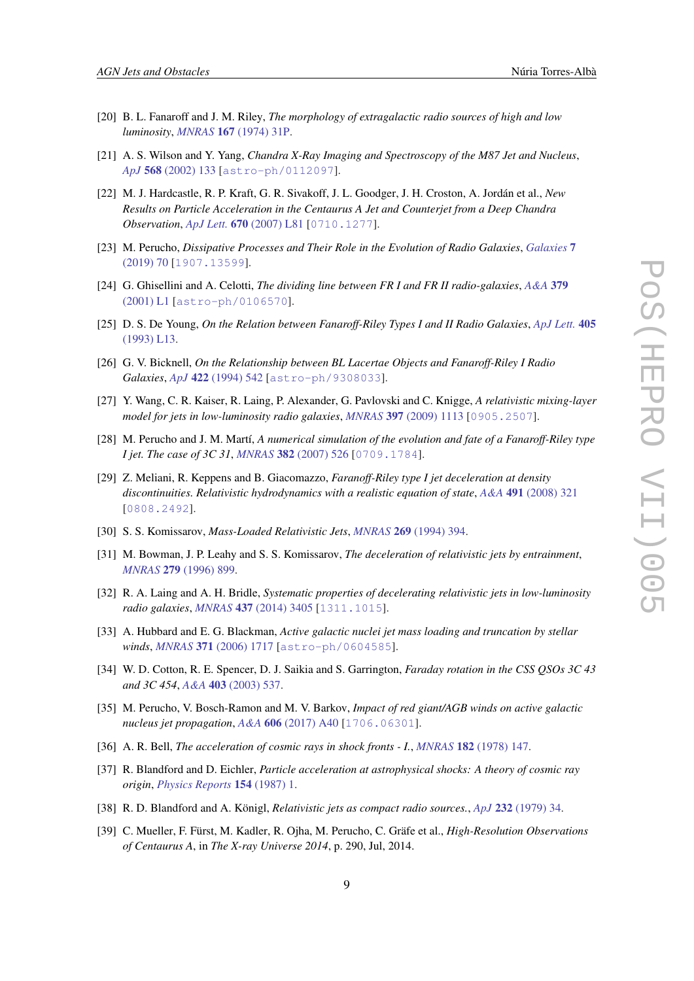- [20] B. L. Fanaroff and J. M. Riley, *The morphology of extragalactic radio sources of high and low luminosity*, *MNRAS* 167 [\(1974\) 31P.](https://doi.org/10.1093/mnras/167.1.31P)
- [21] A. S. Wilson and Y. Yang, *Chandra X-Ray Imaging and Spectroscopy of the M87 Jet and Nucleus*, *ApJ* 568 [\(2002\) 133](https://doi.org/10.1086/338887) [[astro-ph/0112097](https://arxiv.org/abs/astro-ph/0112097)].
- [22] M. J. Hardcastle, R. P. Kraft, G. R. Sivakoff, J. L. Goodger, J. H. Croston, A. Jordán et al., *New Results on Particle Acceleration in the Centaurus A Jet and Counterjet from a Deep Chandra Observation*, *ApJ Lett.* 670 [\(2007\) L81](https://doi.org/10.1086/524197) [[0710.1277](https://arxiv.org/abs/0710.1277)].
- [23] M. Perucho, *Dissipative Processes and Their Role in the Evolution of Radio Galaxies*, *[Galaxies](https://doi.org/10.3390/galaxies7030070)* 7 [\(2019\) 70](https://doi.org/10.3390/galaxies7030070) [[1907.13599](https://arxiv.org/abs/1907.13599)].
- [24] G. Ghisellini and A. Celotti, *The dividing line between FR I and FR II radio-galaxies*, *[A&A](https://doi.org/10.1051/0004-6361:20011338)* 379 [\(2001\) L1](https://doi.org/10.1051/0004-6361:20011338) [[astro-ph/0106570](https://arxiv.org/abs/astro-ph/0106570)].
- [25] D. S. De Young, *On the Relation between Fanaroff-Riley Types I and II Radio Galaxies*, *[ApJ Lett.](https://doi.org/10.1086/186754)* 405 [\(1993\) L13](https://doi.org/10.1086/186754).
- [26] G. V. Bicknell, *On the Relationship between BL Lacertae Objects and Fanaroff-Riley I Radio Galaxies*, *ApJ* 422 [\(1994\) 542](https://doi.org/10.1086/173748) [[astro-ph/9308033](https://arxiv.org/abs/astro-ph/9308033)].
- [27] Y. Wang, C. R. Kaiser, R. Laing, P. Alexander, G. Pavlovski and C. Knigge, *A relativistic mixing-layer model for jets in low-luminosity radio galaxies*, *MNRAS* 397 [\(2009\) 1113](https://doi.org/10.1111/j.1365-2966.2009.15026.x) [[0905.2507](https://arxiv.org/abs/0905.2507)].
- [28] M. Perucho and J. M. Martí, *A numerical simulation of the evolution and fate of a Fanaroff-Riley type I jet. The case of 3C 31*, *MNRAS* 382 [\(2007\) 526](https://doi.org/10.1111/j.1365-2966.2007.12454.x) [[0709.1784](https://arxiv.org/abs/0709.1784)].
- [29] Z. Meliani, R. Keppens and B. Giacomazzo, *Faranoff-Riley type I jet deceleration at density discontinuities. Relativistic hydrodynamics with a realistic equation of state*, *A&A* 491 [\(2008\) 321](https://doi.org/10.1051/0004-6361:20079185) [[0808.2492](https://arxiv.org/abs/0808.2492)].
- [30] S. S. Komissarov, *Mass-Loaded Relativistic Jets*, *MNRAS* 269 [\(1994\) 394](https://doi.org/10.1093/mnras/269.2.394).
- [31] M. Bowman, J. P. Leahy and S. S. Komissarov, *The deceleration of relativistic jets by entrainment*, *MNRAS* 279 [\(1996\) 899](https://doi.org/10.1093/mnras/279.3.899).
- [32] R. A. Laing and A. H. Bridle, *Systematic properties of decelerating relativistic jets in low-luminosity radio galaxies*, *MNRAS* 437 [\(2014\) 3405](https://doi.org/10.1093/mnras/stt2138) [[1311.1015](https://arxiv.org/abs/1311.1015)].
- [33] A. Hubbard and E. G. Blackman, *Active galactic nuclei jet mass loading and truncation by stellar winds*, *MNRAS* 371 [\(2006\) 1717](https://doi.org/10.1111/j.1365-2966.2006.10808.x) [[astro-ph/0604585](https://arxiv.org/abs/astro-ph/0604585)].
- [34] W. D. Cotton, R. E. Spencer, D. J. Saikia and S. Garrington, *Faraday rotation in the CSS QSOs 3C 43 and 3C 454*, *A&A* 403 [\(2003\) 537.](https://doi.org/10.1051/0004-6361:20030347)
- [35] M. Perucho, V. Bosch-Ramon and M. V. Barkov, *Impact of red giant/AGB winds on active galactic nucleus jet propagation*, *A&A* 606 [\(2017\) A40](https://doi.org/10.1051/0004-6361/201630117) [[1706.06301](https://arxiv.org/abs/1706.06301)].
- [36] A. R. Bell, *The acceleration of cosmic rays in shock fronts I.*, *MNRAS* 182 [\(1978\) 147](https://doi.org/10.1093/mnras/182.2.147).
- [37] R. Blandford and D. Eichler, *Particle acceleration at astrophysical shocks: A theory of cosmic ray origin*, *[Physics Reports](https://doi.org/10.1016/0370-1573(87)90134-7)* 154 (1987) 1.
- [38] R. D. Blandford and A. Königl, *Relativistic jets as compact radio sources.*, *ApJ* 232 [\(1979\) 34](https://doi.org/10.1086/157262).
- [39] C. Mueller, F. Fürst, M. Kadler, R. Ojha, M. Perucho, C. Gräfe et al., *High-Resolution Observations of Centaurus A*, in *The X-ray Universe 2014*, p. 290, Jul, 2014.